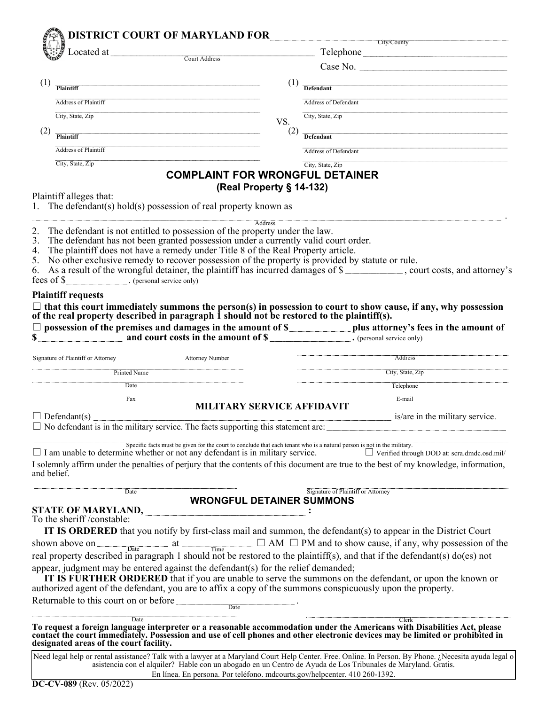| Located at <u>Court Address</u><br>(1)<br>Defendant<br>Plaintiff<br><b>Address of Plaintiff</b><br><b>Address of Defendant</b><br>City, State, Zip<br>City, State, Zip<br>VS.<br>(2)<br>Plaintiff<br>Defendant<br><b>Address of Plaintiff</b><br>Address of Defendant<br>City, State, Zip<br>City, State, Zip<br><b>COMPLAINT FOR WRONGFUL DETAINER</b><br>(Real Property § 14-132)<br>Plaintiff alleges that:<br>1. The defendant(s) hold(s) possession of real property known as<br>Address<br>2. The defendant is not entitled to possession of the property under the law.<br>3. The defendant has not been granted possession under a currently valid court order.<br>4. The plaintiff does not have a remedy under Title 8 of the Real Property article.<br>5. No other exclusive remedy to recover possession of the property is provided by statute or rule.<br>6. As a result of the wrongful detainer, the plaintiff has incurred damages of \$___________, court costs, and attorney's<br>fees of \$<br><b>Plaintiff requests</b><br>$\Box$ that this court immediately summons the person(s) in possession to court to show cause, if any, why possession of the real property described in paragraph 1 should not be restored to the plaintiff(s).<br>$\frac{1}{\sqrt{2}}$ and court costs in the amount of $\frac{1}{\sqrt{2}}$ (personal service only)<br>Attorney Number<br><b>Signature of Plaintiff or Attorney</b><br>Printed Name<br>Date<br>Fax<br>MILITARY SERVICE AFFIDAVIT<br>$\Box$ Defendant(s)<br>$\Box$ No defendant is in the military service. The facts supporting this statement are: $\Box$<br>Specific facts must be given for the court to conclude that each tenant who is a natural person is not in the military.<br>$\Box$ I am unable to determine whether or not any defendant is in military service.<br>I solemnly affirm under the penalties of perjury that the contents of this document are true to the best of my knowledge, information,<br>and belief.<br>Signature of Plaintiff or Attorney<br>Date<br><b>WRONGFUL DETAINER SUMMONS</b><br>STATE OF MARYLAND,<br>To the sheriff /constable:<br>IT IS ORDERED that you notify by first-class mail and summon, the defendant(s) to appear in the District Court<br>shown above on <u>subsetively</u> at $\square$ and $\square$ AM $\square$ PM and to show cause, if any, why possession of the real property described in paragraph 1 should not be restored to the plaintiff(s), and that if the defendant(s) do(<br>appear, judgment may be entered against the defendant(s) for the relief demanded;<br>IT IS FURTHER ORDERED that if you are unable to serve the summons on the defendant, or upon the known or<br>authorized agent of the defendant, you are to affix a copy of the summons conspicuously upon the property.<br>Returnable to this court on or before<br>Date<br>Date<br>To request a foreign language interpreter or a reasonable accommodation under the Americans with Disabilities Act, please<br>contact the court immediately. Possession and use of cell phones and other electronic devices may be limited or prohibited in<br>designated areas of the court facility.<br>Need legal help or rental assistance? Talk with a lawyer at a Maryland Court Help Center. Free. Online. In Person. By Phone. ¿Necesita ayuda legal o |  |  |  | City/County                                        |
|----------------------------------------------------------------------------------------------------------------------------------------------------------------------------------------------------------------------------------------------------------------------------------------------------------------------------------------------------------------------------------------------------------------------------------------------------------------------------------------------------------------------------------------------------------------------------------------------------------------------------------------------------------------------------------------------------------------------------------------------------------------------------------------------------------------------------------------------------------------------------------------------------------------------------------------------------------------------------------------------------------------------------------------------------------------------------------------------------------------------------------------------------------------------------------------------------------------------------------------------------------------------------------------------------------------------------------------------------------------------------------------------------------------------------------------------------------------------------------------------------------------------------------------------------------------------------------------------------------------------------------------------------------------------------------------------------------------------------------------------------------------------------------------------------------------------------------------------------------------------------------------------------------------------------------------------------------------------------------------------------------------------------------------------------------------------------------------------------------------------------------------------------------------------------------------------------------------------------------------------------------------------------------------------------------------------------------------------------------------------------------------------------------------------------------------------------------------------------------------------------------------------------------------------------------------------------------------------------------------------------------------------------------------------------------------------------------------------------------------------------------------------------------------------------------------------------------------------------------------------------------------------------------------------------------------------------------------------------------------------------------------------------------------------------------------------------------------------------------------------------------------------------------------------------------------------------------------------------------------------------------------------------------------------------------------------------------------------------------------|--|--|--|----------------------------------------------------|
|                                                                                                                                                                                                                                                                                                                                                                                                                                                                                                                                                                                                                                                                                                                                                                                                                                                                                                                                                                                                                                                                                                                                                                                                                                                                                                                                                                                                                                                                                                                                                                                                                                                                                                                                                                                                                                                                                                                                                                                                                                                                                                                                                                                                                                                                                                                                                                                                                                                                                                                                                                                                                                                                                                                                                                                                                                                                                                                                                                                                                                                                                                                                                                                                                                                                                                                                                                |  |  |  | Case No.                                           |
|                                                                                                                                                                                                                                                                                                                                                                                                                                                                                                                                                                                                                                                                                                                                                                                                                                                                                                                                                                                                                                                                                                                                                                                                                                                                                                                                                                                                                                                                                                                                                                                                                                                                                                                                                                                                                                                                                                                                                                                                                                                                                                                                                                                                                                                                                                                                                                                                                                                                                                                                                                                                                                                                                                                                                                                                                                                                                                                                                                                                                                                                                                                                                                                                                                                                                                                                                                |  |  |  |                                                    |
|                                                                                                                                                                                                                                                                                                                                                                                                                                                                                                                                                                                                                                                                                                                                                                                                                                                                                                                                                                                                                                                                                                                                                                                                                                                                                                                                                                                                                                                                                                                                                                                                                                                                                                                                                                                                                                                                                                                                                                                                                                                                                                                                                                                                                                                                                                                                                                                                                                                                                                                                                                                                                                                                                                                                                                                                                                                                                                                                                                                                                                                                                                                                                                                                                                                                                                                                                                |  |  |  |                                                    |
|                                                                                                                                                                                                                                                                                                                                                                                                                                                                                                                                                                                                                                                                                                                                                                                                                                                                                                                                                                                                                                                                                                                                                                                                                                                                                                                                                                                                                                                                                                                                                                                                                                                                                                                                                                                                                                                                                                                                                                                                                                                                                                                                                                                                                                                                                                                                                                                                                                                                                                                                                                                                                                                                                                                                                                                                                                                                                                                                                                                                                                                                                                                                                                                                                                                                                                                                                                |  |  |  |                                                    |
|                                                                                                                                                                                                                                                                                                                                                                                                                                                                                                                                                                                                                                                                                                                                                                                                                                                                                                                                                                                                                                                                                                                                                                                                                                                                                                                                                                                                                                                                                                                                                                                                                                                                                                                                                                                                                                                                                                                                                                                                                                                                                                                                                                                                                                                                                                                                                                                                                                                                                                                                                                                                                                                                                                                                                                                                                                                                                                                                                                                                                                                                                                                                                                                                                                                                                                                                                                |  |  |  |                                                    |
|                                                                                                                                                                                                                                                                                                                                                                                                                                                                                                                                                                                                                                                                                                                                                                                                                                                                                                                                                                                                                                                                                                                                                                                                                                                                                                                                                                                                                                                                                                                                                                                                                                                                                                                                                                                                                                                                                                                                                                                                                                                                                                                                                                                                                                                                                                                                                                                                                                                                                                                                                                                                                                                                                                                                                                                                                                                                                                                                                                                                                                                                                                                                                                                                                                                                                                                                                                |  |  |  |                                                    |
|                                                                                                                                                                                                                                                                                                                                                                                                                                                                                                                                                                                                                                                                                                                                                                                                                                                                                                                                                                                                                                                                                                                                                                                                                                                                                                                                                                                                                                                                                                                                                                                                                                                                                                                                                                                                                                                                                                                                                                                                                                                                                                                                                                                                                                                                                                                                                                                                                                                                                                                                                                                                                                                                                                                                                                                                                                                                                                                                                                                                                                                                                                                                                                                                                                                                                                                                                                |  |  |  |                                                    |
|                                                                                                                                                                                                                                                                                                                                                                                                                                                                                                                                                                                                                                                                                                                                                                                                                                                                                                                                                                                                                                                                                                                                                                                                                                                                                                                                                                                                                                                                                                                                                                                                                                                                                                                                                                                                                                                                                                                                                                                                                                                                                                                                                                                                                                                                                                                                                                                                                                                                                                                                                                                                                                                                                                                                                                                                                                                                                                                                                                                                                                                                                                                                                                                                                                                                                                                                                                |  |  |  |                                                    |
|                                                                                                                                                                                                                                                                                                                                                                                                                                                                                                                                                                                                                                                                                                                                                                                                                                                                                                                                                                                                                                                                                                                                                                                                                                                                                                                                                                                                                                                                                                                                                                                                                                                                                                                                                                                                                                                                                                                                                                                                                                                                                                                                                                                                                                                                                                                                                                                                                                                                                                                                                                                                                                                                                                                                                                                                                                                                                                                                                                                                                                                                                                                                                                                                                                                                                                                                                                |  |  |  |                                                    |
|                                                                                                                                                                                                                                                                                                                                                                                                                                                                                                                                                                                                                                                                                                                                                                                                                                                                                                                                                                                                                                                                                                                                                                                                                                                                                                                                                                                                                                                                                                                                                                                                                                                                                                                                                                                                                                                                                                                                                                                                                                                                                                                                                                                                                                                                                                                                                                                                                                                                                                                                                                                                                                                                                                                                                                                                                                                                                                                                                                                                                                                                                                                                                                                                                                                                                                                                                                |  |  |  |                                                    |
|                                                                                                                                                                                                                                                                                                                                                                                                                                                                                                                                                                                                                                                                                                                                                                                                                                                                                                                                                                                                                                                                                                                                                                                                                                                                                                                                                                                                                                                                                                                                                                                                                                                                                                                                                                                                                                                                                                                                                                                                                                                                                                                                                                                                                                                                                                                                                                                                                                                                                                                                                                                                                                                                                                                                                                                                                                                                                                                                                                                                                                                                                                                                                                                                                                                                                                                                                                |  |  |  |                                                    |
|                                                                                                                                                                                                                                                                                                                                                                                                                                                                                                                                                                                                                                                                                                                                                                                                                                                                                                                                                                                                                                                                                                                                                                                                                                                                                                                                                                                                                                                                                                                                                                                                                                                                                                                                                                                                                                                                                                                                                                                                                                                                                                                                                                                                                                                                                                                                                                                                                                                                                                                                                                                                                                                                                                                                                                                                                                                                                                                                                                                                                                                                                                                                                                                                                                                                                                                                                                |  |  |  |                                                    |
|                                                                                                                                                                                                                                                                                                                                                                                                                                                                                                                                                                                                                                                                                                                                                                                                                                                                                                                                                                                                                                                                                                                                                                                                                                                                                                                                                                                                                                                                                                                                                                                                                                                                                                                                                                                                                                                                                                                                                                                                                                                                                                                                                                                                                                                                                                                                                                                                                                                                                                                                                                                                                                                                                                                                                                                                                                                                                                                                                                                                                                                                                                                                                                                                                                                                                                                                                                |  |  |  |                                                    |
|                                                                                                                                                                                                                                                                                                                                                                                                                                                                                                                                                                                                                                                                                                                                                                                                                                                                                                                                                                                                                                                                                                                                                                                                                                                                                                                                                                                                                                                                                                                                                                                                                                                                                                                                                                                                                                                                                                                                                                                                                                                                                                                                                                                                                                                                                                                                                                                                                                                                                                                                                                                                                                                                                                                                                                                                                                                                                                                                                                                                                                                                                                                                                                                                                                                                                                                                                                |  |  |  |                                                    |
|                                                                                                                                                                                                                                                                                                                                                                                                                                                                                                                                                                                                                                                                                                                                                                                                                                                                                                                                                                                                                                                                                                                                                                                                                                                                                                                                                                                                                                                                                                                                                                                                                                                                                                                                                                                                                                                                                                                                                                                                                                                                                                                                                                                                                                                                                                                                                                                                                                                                                                                                                                                                                                                                                                                                                                                                                                                                                                                                                                                                                                                                                                                                                                                                                                                                                                                                                                |  |  |  |                                                    |
|                                                                                                                                                                                                                                                                                                                                                                                                                                                                                                                                                                                                                                                                                                                                                                                                                                                                                                                                                                                                                                                                                                                                                                                                                                                                                                                                                                                                                                                                                                                                                                                                                                                                                                                                                                                                                                                                                                                                                                                                                                                                                                                                                                                                                                                                                                                                                                                                                                                                                                                                                                                                                                                                                                                                                                                                                                                                                                                                                                                                                                                                                                                                                                                                                                                                                                                                                                |  |  |  |                                                    |
|                                                                                                                                                                                                                                                                                                                                                                                                                                                                                                                                                                                                                                                                                                                                                                                                                                                                                                                                                                                                                                                                                                                                                                                                                                                                                                                                                                                                                                                                                                                                                                                                                                                                                                                                                                                                                                                                                                                                                                                                                                                                                                                                                                                                                                                                                                                                                                                                                                                                                                                                                                                                                                                                                                                                                                                                                                                                                                                                                                                                                                                                                                                                                                                                                                                                                                                                                                |  |  |  |                                                    |
|                                                                                                                                                                                                                                                                                                                                                                                                                                                                                                                                                                                                                                                                                                                                                                                                                                                                                                                                                                                                                                                                                                                                                                                                                                                                                                                                                                                                                                                                                                                                                                                                                                                                                                                                                                                                                                                                                                                                                                                                                                                                                                                                                                                                                                                                                                                                                                                                                                                                                                                                                                                                                                                                                                                                                                                                                                                                                                                                                                                                                                                                                                                                                                                                                                                                                                                                                                |  |  |  |                                                    |
|                                                                                                                                                                                                                                                                                                                                                                                                                                                                                                                                                                                                                                                                                                                                                                                                                                                                                                                                                                                                                                                                                                                                                                                                                                                                                                                                                                                                                                                                                                                                                                                                                                                                                                                                                                                                                                                                                                                                                                                                                                                                                                                                                                                                                                                                                                                                                                                                                                                                                                                                                                                                                                                                                                                                                                                                                                                                                                                                                                                                                                                                                                                                                                                                                                                                                                                                                                |  |  |  |                                                    |
|                                                                                                                                                                                                                                                                                                                                                                                                                                                                                                                                                                                                                                                                                                                                                                                                                                                                                                                                                                                                                                                                                                                                                                                                                                                                                                                                                                                                                                                                                                                                                                                                                                                                                                                                                                                                                                                                                                                                                                                                                                                                                                                                                                                                                                                                                                                                                                                                                                                                                                                                                                                                                                                                                                                                                                                                                                                                                                                                                                                                                                                                                                                                                                                                                                                                                                                                                                |  |  |  | Address                                            |
|                                                                                                                                                                                                                                                                                                                                                                                                                                                                                                                                                                                                                                                                                                                                                                                                                                                                                                                                                                                                                                                                                                                                                                                                                                                                                                                                                                                                                                                                                                                                                                                                                                                                                                                                                                                                                                                                                                                                                                                                                                                                                                                                                                                                                                                                                                                                                                                                                                                                                                                                                                                                                                                                                                                                                                                                                                                                                                                                                                                                                                                                                                                                                                                                                                                                                                                                                                |  |  |  | City, State, Zip                                   |
|                                                                                                                                                                                                                                                                                                                                                                                                                                                                                                                                                                                                                                                                                                                                                                                                                                                                                                                                                                                                                                                                                                                                                                                                                                                                                                                                                                                                                                                                                                                                                                                                                                                                                                                                                                                                                                                                                                                                                                                                                                                                                                                                                                                                                                                                                                                                                                                                                                                                                                                                                                                                                                                                                                                                                                                                                                                                                                                                                                                                                                                                                                                                                                                                                                                                                                                                                                |  |  |  | Telephone                                          |
|                                                                                                                                                                                                                                                                                                                                                                                                                                                                                                                                                                                                                                                                                                                                                                                                                                                                                                                                                                                                                                                                                                                                                                                                                                                                                                                                                                                                                                                                                                                                                                                                                                                                                                                                                                                                                                                                                                                                                                                                                                                                                                                                                                                                                                                                                                                                                                                                                                                                                                                                                                                                                                                                                                                                                                                                                                                                                                                                                                                                                                                                                                                                                                                                                                                                                                                                                                |  |  |  | E-mail                                             |
|                                                                                                                                                                                                                                                                                                                                                                                                                                                                                                                                                                                                                                                                                                                                                                                                                                                                                                                                                                                                                                                                                                                                                                                                                                                                                                                                                                                                                                                                                                                                                                                                                                                                                                                                                                                                                                                                                                                                                                                                                                                                                                                                                                                                                                                                                                                                                                                                                                                                                                                                                                                                                                                                                                                                                                                                                                                                                                                                                                                                                                                                                                                                                                                                                                                                                                                                                                |  |  |  | is/are in the military service.                    |
|                                                                                                                                                                                                                                                                                                                                                                                                                                                                                                                                                                                                                                                                                                                                                                                                                                                                                                                                                                                                                                                                                                                                                                                                                                                                                                                                                                                                                                                                                                                                                                                                                                                                                                                                                                                                                                                                                                                                                                                                                                                                                                                                                                                                                                                                                                                                                                                                                                                                                                                                                                                                                                                                                                                                                                                                                                                                                                                                                                                                                                                                                                                                                                                                                                                                                                                                                                |  |  |  |                                                    |
|                                                                                                                                                                                                                                                                                                                                                                                                                                                                                                                                                                                                                                                                                                                                                                                                                                                                                                                                                                                                                                                                                                                                                                                                                                                                                                                                                                                                                                                                                                                                                                                                                                                                                                                                                                                                                                                                                                                                                                                                                                                                                                                                                                                                                                                                                                                                                                                                                                                                                                                                                                                                                                                                                                                                                                                                                                                                                                                                                                                                                                                                                                                                                                                                                                                                                                                                                                |  |  |  |                                                    |
|                                                                                                                                                                                                                                                                                                                                                                                                                                                                                                                                                                                                                                                                                                                                                                                                                                                                                                                                                                                                                                                                                                                                                                                                                                                                                                                                                                                                                                                                                                                                                                                                                                                                                                                                                                                                                                                                                                                                                                                                                                                                                                                                                                                                                                                                                                                                                                                                                                                                                                                                                                                                                                                                                                                                                                                                                                                                                                                                                                                                                                                                                                                                                                                                                                                                                                                                                                |  |  |  | $\Box$ Verified through DOD at: scra.dmdc.osd.mil/ |
|                                                                                                                                                                                                                                                                                                                                                                                                                                                                                                                                                                                                                                                                                                                                                                                                                                                                                                                                                                                                                                                                                                                                                                                                                                                                                                                                                                                                                                                                                                                                                                                                                                                                                                                                                                                                                                                                                                                                                                                                                                                                                                                                                                                                                                                                                                                                                                                                                                                                                                                                                                                                                                                                                                                                                                                                                                                                                                                                                                                                                                                                                                                                                                                                                                                                                                                                                                |  |  |  |                                                    |
|                                                                                                                                                                                                                                                                                                                                                                                                                                                                                                                                                                                                                                                                                                                                                                                                                                                                                                                                                                                                                                                                                                                                                                                                                                                                                                                                                                                                                                                                                                                                                                                                                                                                                                                                                                                                                                                                                                                                                                                                                                                                                                                                                                                                                                                                                                                                                                                                                                                                                                                                                                                                                                                                                                                                                                                                                                                                                                                                                                                                                                                                                                                                                                                                                                                                                                                                                                |  |  |  |                                                    |
|                                                                                                                                                                                                                                                                                                                                                                                                                                                                                                                                                                                                                                                                                                                                                                                                                                                                                                                                                                                                                                                                                                                                                                                                                                                                                                                                                                                                                                                                                                                                                                                                                                                                                                                                                                                                                                                                                                                                                                                                                                                                                                                                                                                                                                                                                                                                                                                                                                                                                                                                                                                                                                                                                                                                                                                                                                                                                                                                                                                                                                                                                                                                                                                                                                                                                                                                                                |  |  |  |                                                    |
|                                                                                                                                                                                                                                                                                                                                                                                                                                                                                                                                                                                                                                                                                                                                                                                                                                                                                                                                                                                                                                                                                                                                                                                                                                                                                                                                                                                                                                                                                                                                                                                                                                                                                                                                                                                                                                                                                                                                                                                                                                                                                                                                                                                                                                                                                                                                                                                                                                                                                                                                                                                                                                                                                                                                                                                                                                                                                                                                                                                                                                                                                                                                                                                                                                                                                                                                                                |  |  |  |                                                    |
|                                                                                                                                                                                                                                                                                                                                                                                                                                                                                                                                                                                                                                                                                                                                                                                                                                                                                                                                                                                                                                                                                                                                                                                                                                                                                                                                                                                                                                                                                                                                                                                                                                                                                                                                                                                                                                                                                                                                                                                                                                                                                                                                                                                                                                                                                                                                                                                                                                                                                                                                                                                                                                                                                                                                                                                                                                                                                                                                                                                                                                                                                                                                                                                                                                                                                                                                                                |  |  |  |                                                    |
|                                                                                                                                                                                                                                                                                                                                                                                                                                                                                                                                                                                                                                                                                                                                                                                                                                                                                                                                                                                                                                                                                                                                                                                                                                                                                                                                                                                                                                                                                                                                                                                                                                                                                                                                                                                                                                                                                                                                                                                                                                                                                                                                                                                                                                                                                                                                                                                                                                                                                                                                                                                                                                                                                                                                                                                                                                                                                                                                                                                                                                                                                                                                                                                                                                                                                                                                                                |  |  |  |                                                    |
|                                                                                                                                                                                                                                                                                                                                                                                                                                                                                                                                                                                                                                                                                                                                                                                                                                                                                                                                                                                                                                                                                                                                                                                                                                                                                                                                                                                                                                                                                                                                                                                                                                                                                                                                                                                                                                                                                                                                                                                                                                                                                                                                                                                                                                                                                                                                                                                                                                                                                                                                                                                                                                                                                                                                                                                                                                                                                                                                                                                                                                                                                                                                                                                                                                                                                                                                                                |  |  |  |                                                    |
|                                                                                                                                                                                                                                                                                                                                                                                                                                                                                                                                                                                                                                                                                                                                                                                                                                                                                                                                                                                                                                                                                                                                                                                                                                                                                                                                                                                                                                                                                                                                                                                                                                                                                                                                                                                                                                                                                                                                                                                                                                                                                                                                                                                                                                                                                                                                                                                                                                                                                                                                                                                                                                                                                                                                                                                                                                                                                                                                                                                                                                                                                                                                                                                                                                                                                                                                                                |  |  |  |                                                    |
|                                                                                                                                                                                                                                                                                                                                                                                                                                                                                                                                                                                                                                                                                                                                                                                                                                                                                                                                                                                                                                                                                                                                                                                                                                                                                                                                                                                                                                                                                                                                                                                                                                                                                                                                                                                                                                                                                                                                                                                                                                                                                                                                                                                                                                                                                                                                                                                                                                                                                                                                                                                                                                                                                                                                                                                                                                                                                                                                                                                                                                                                                                                                                                                                                                                                                                                                                                |  |  |  |                                                    |
|                                                                                                                                                                                                                                                                                                                                                                                                                                                                                                                                                                                                                                                                                                                                                                                                                                                                                                                                                                                                                                                                                                                                                                                                                                                                                                                                                                                                                                                                                                                                                                                                                                                                                                                                                                                                                                                                                                                                                                                                                                                                                                                                                                                                                                                                                                                                                                                                                                                                                                                                                                                                                                                                                                                                                                                                                                                                                                                                                                                                                                                                                                                                                                                                                                                                                                                                                                |  |  |  |                                                    |
|                                                                                                                                                                                                                                                                                                                                                                                                                                                                                                                                                                                                                                                                                                                                                                                                                                                                                                                                                                                                                                                                                                                                                                                                                                                                                                                                                                                                                                                                                                                                                                                                                                                                                                                                                                                                                                                                                                                                                                                                                                                                                                                                                                                                                                                                                                                                                                                                                                                                                                                                                                                                                                                                                                                                                                                                                                                                                                                                                                                                                                                                                                                                                                                                                                                                                                                                                                |  |  |  |                                                    |
|                                                                                                                                                                                                                                                                                                                                                                                                                                                                                                                                                                                                                                                                                                                                                                                                                                                                                                                                                                                                                                                                                                                                                                                                                                                                                                                                                                                                                                                                                                                                                                                                                                                                                                                                                                                                                                                                                                                                                                                                                                                                                                                                                                                                                                                                                                                                                                                                                                                                                                                                                                                                                                                                                                                                                                                                                                                                                                                                                                                                                                                                                                                                                                                                                                                                                                                                                                |  |  |  |                                                    |
|                                                                                                                                                                                                                                                                                                                                                                                                                                                                                                                                                                                                                                                                                                                                                                                                                                                                                                                                                                                                                                                                                                                                                                                                                                                                                                                                                                                                                                                                                                                                                                                                                                                                                                                                                                                                                                                                                                                                                                                                                                                                                                                                                                                                                                                                                                                                                                                                                                                                                                                                                                                                                                                                                                                                                                                                                                                                                                                                                                                                                                                                                                                                                                                                                                                                                                                                                                |  |  |  |                                                    |
|                                                                                                                                                                                                                                                                                                                                                                                                                                                                                                                                                                                                                                                                                                                                                                                                                                                                                                                                                                                                                                                                                                                                                                                                                                                                                                                                                                                                                                                                                                                                                                                                                                                                                                                                                                                                                                                                                                                                                                                                                                                                                                                                                                                                                                                                                                                                                                                                                                                                                                                                                                                                                                                                                                                                                                                                                                                                                                                                                                                                                                                                                                                                                                                                                                                                                                                                                                |  |  |  | Clerk                                              |
|                                                                                                                                                                                                                                                                                                                                                                                                                                                                                                                                                                                                                                                                                                                                                                                                                                                                                                                                                                                                                                                                                                                                                                                                                                                                                                                                                                                                                                                                                                                                                                                                                                                                                                                                                                                                                                                                                                                                                                                                                                                                                                                                                                                                                                                                                                                                                                                                                                                                                                                                                                                                                                                                                                                                                                                                                                                                                                                                                                                                                                                                                                                                                                                                                                                                                                                                                                |  |  |  |                                                    |
| asistencia con el alquiler? Hable con un abogado en un Centro de Ayuda de Los Tribunales de Maryland. Gratis.<br>En línea. En persona. Por teléfono. mdcourts.gov/helpcenter. 410 260-1392.                                                                                                                                                                                                                                                                                                                                                                                                                                                                                                                                                                                                                                                                                                                                                                                                                                                                                                                                                                                                                                                                                                                                                                                                                                                                                                                                                                                                                                                                                                                                                                                                                                                                                                                                                                                                                                                                                                                                                                                                                                                                                                                                                                                                                                                                                                                                                                                                                                                                                                                                                                                                                                                                                                                                                                                                                                                                                                                                                                                                                                                                                                                                                                    |  |  |  |                                                    |